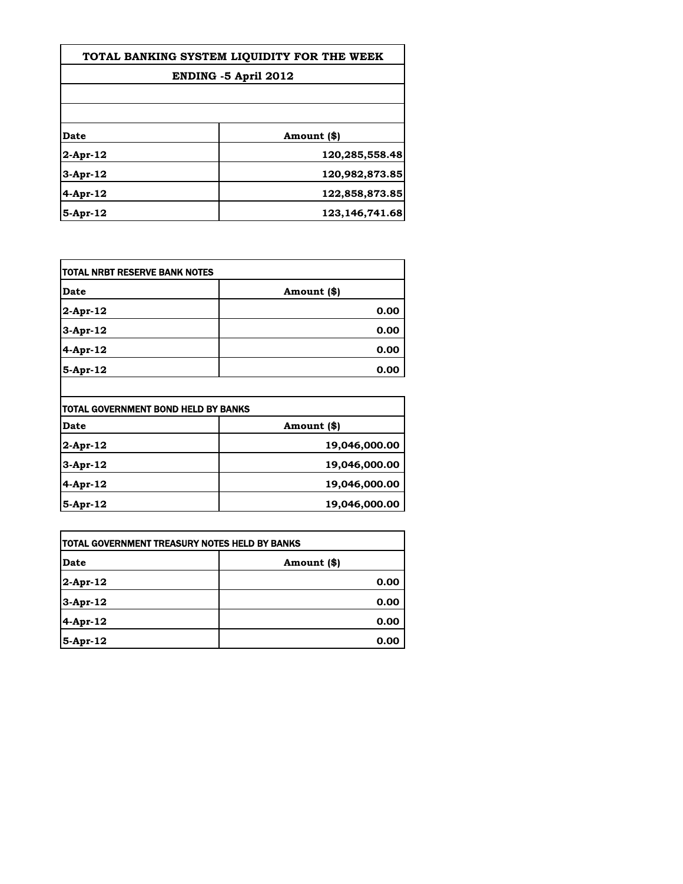| TOTAL BANKING SYSTEM LIOUIDITY FOR THE WEEK<br>ENDING -5 April 2012 |                  |
|---------------------------------------------------------------------|------------------|
|                                                                     |                  |
|                                                                     |                  |
| Date                                                                | Amount (\$)      |
| 2-Apr-12                                                            | 120,285,558.48   |
| 3-Apr-12                                                            | 120,982,873.85   |
| 4-Apr-12                                                            | 122,858,873.85   |
| 5-Apr-12                                                            | 123, 146, 741.68 |

| TOTAL NRBT RESERVE BANK NOTES |             |
|-------------------------------|-------------|
| <b>Date</b>                   | Amount (\$) |
| $2$ -Apr-12                   | 0.00        |
| $3-Apr-12$                    | 0.00        |
| 4-Apr-12                      | 0.00        |
| $5-Apr-12$                    | 0.00        |

|             | TOTAL GOVERNMENT BOND HELD BY BANKS |  |
|-------------|-------------------------------------|--|
| Date        | Amount (\$)                         |  |
| $2$ -Apr-12 | 19,046,000.00                       |  |
| $3-Apr-12$  | 19,046,000.00                       |  |
| $4-Apr-12$  | 19,046,000.00                       |  |
| $5-Apr-12$  | 19,046,000.00                       |  |

| <b>TOTAL GOVERNMENT TREASURY NOTES HELD BY BANKS</b> |             |
|------------------------------------------------------|-------------|
| Date                                                 | Amount (\$) |
| 2-Apr-12                                             | 0.00        |
| 3-Apr-12                                             | 0.00        |
| 4-Apr-12                                             | 0.00        |
| 5-Apr-12                                             | 0.00        |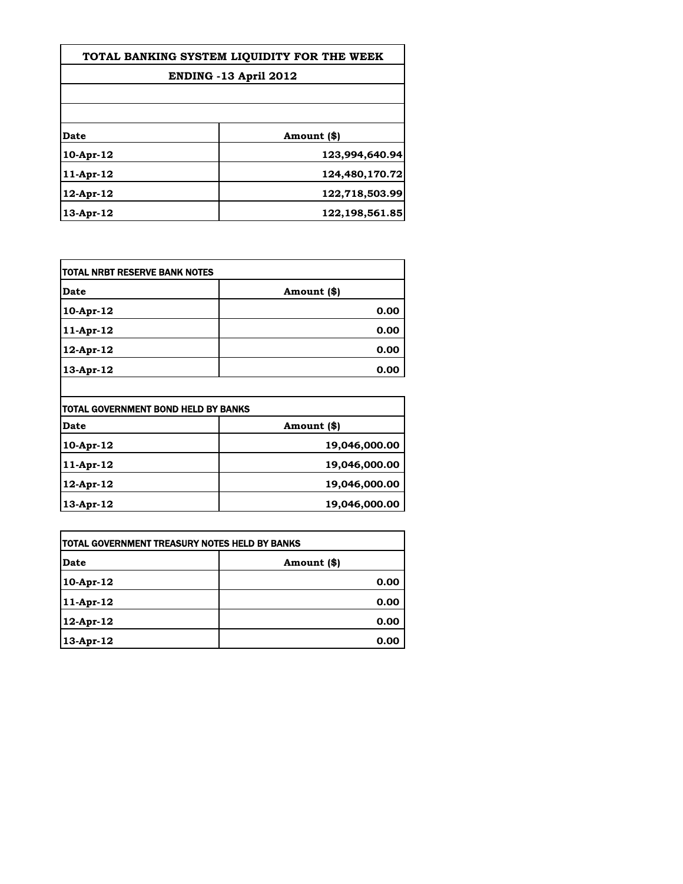| TOTAL BANKING SYSTEM LIOUIDITY FOR THE WEEK<br><b>ENDING -13 April 2012</b> |                |
|-----------------------------------------------------------------------------|----------------|
|                                                                             |                |
|                                                                             |                |
| Date                                                                        | Amount (\$)    |
| $10-Apr-12$                                                                 | 123,994,640.94 |
| $11-Apr-12$                                                                 | 124,480,170.72 |
| $12$ -Apr- $12$                                                             | 122,718,503.99 |
| $13$ -Apr- $12$                                                             | 122,198,561.85 |

| TOTAL NRBT RESERVE BANK NOTES |             |
|-------------------------------|-------------|
| <b>Date</b>                   | Amount (\$) |
| 10-Apr-12                     | 0.00        |
| 11-Apr-12                     | 0.00        |
| 12-Apr-12                     | 0.00        |
| 13-Apr-12                     | 0.00        |

| TOTAL GOVERNMENT BOND HELD BY BANKS |               |
|-------------------------------------|---------------|
| Date                                | Amount (\$)   |
| $10-Apr-12$                         | 19,046,000.00 |
| $11-Apr-12$                         | 19,046,000.00 |
| $12$ -Apr- $12$                     | 19,046,000.00 |
| $13$ -Apr- $12$                     | 19,046,000.00 |

| <b>TOTAL GOVERNMENT TREASURY NOTES HELD BY BANKS</b> |             |
|------------------------------------------------------|-------------|
| Date                                                 | Amount (\$) |
| 10-Apr-12                                            | 0.00        |
| $ 11-Apr-12 $                                        | 0.00        |
| 12-Apr-12                                            | 0.00        |
| 13-Apr-12                                            | 0.00        |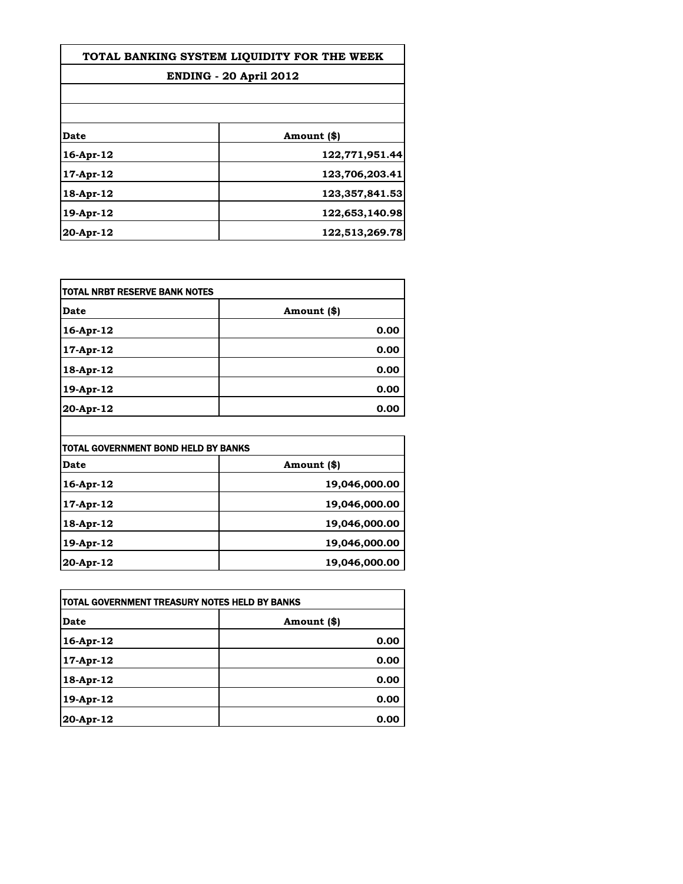| TOTAL BANKING SYSTEM LIQUIDITY FOR THE WEEK |                |
|---------------------------------------------|----------------|
| <b>ENDING - 20 April 2012</b>               |                |
|                                             |                |
| Date                                        | Amount (\$)    |
| $16$ -Apr- $12$                             | 122,771,951.44 |
| $17$ -Apr- $12$                             | 123,706,203.41 |
| $18-Apr-12$                                 | 123,357,841.53 |
| 19-Apr-12                                   | 122,653,140.98 |
| $20-Apr-12$                                 | 122,513,269.78 |

| TOTAL NRBT RESERVE BANK NOTES |             |
|-------------------------------|-------------|
| <b>Date</b>                   | Amount (\$) |
| 16-Apr-12                     | 0.00        |
| 17-Apr-12                     | 0.00        |
| 18-Apr-12                     | 0.00        |
| 19-Apr-12                     | 0.00        |
| 20-Apr-12                     | 0.00        |

| TOTAL GOVERNMENT BOND HELD BY BANKS |               |
|-------------------------------------|---------------|
| Date                                | Amount (\$)   |
| 16-Apr-12                           | 19,046,000.00 |
| $17$ -Apr- $12$                     | 19,046,000.00 |
| $18-Apr-12$                         | 19,046,000.00 |
| 19-Apr-12                           | 19,046,000.00 |
| $20-Apr-12$                         | 19,046,000.00 |

 $\overline{\phantom{a}}$ 

| TOTAL GOVERNMENT TREASURY NOTES HELD BY BANKS |             |
|-----------------------------------------------|-------------|
| Date                                          | Amount (\$) |
| $16$ -Apr- $12$                               | 0.00        |
| $17$ -Apr- $12$                               | 0.00        |
| 18-Apr-12                                     | 0.00        |
| 19-Apr-12                                     | 0.00        |
| 20-Apr-12                                     | 0.00        |